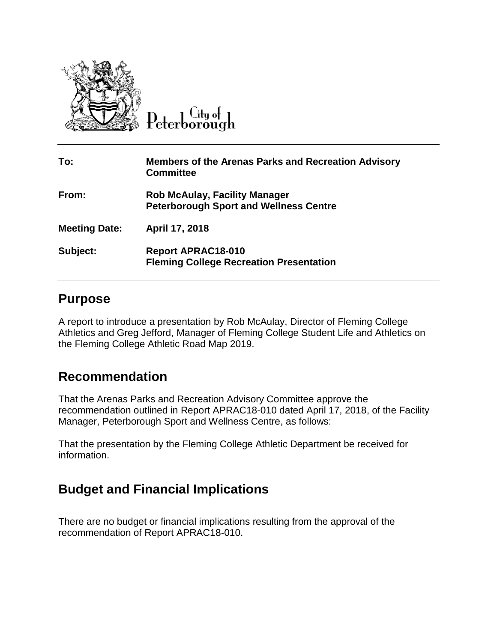

Peterborough

| To:                  | <b>Members of the Arenas Parks and Recreation Advisory</b><br><b>Committee</b>        |
|----------------------|---------------------------------------------------------------------------------------|
| From:                | <b>Rob McAulay, Facility Manager</b><br><b>Peterborough Sport and Wellness Centre</b> |
| <b>Meeting Date:</b> | April 17, 2018                                                                        |
| Subject:             | <b>Report APRAC18-010</b><br><b>Fleming College Recreation Presentation</b>           |

## **Purpose**

A report to introduce a presentation by Rob McAulay, Director of Fleming College Athletics and Greg Jefford, Manager of Fleming College Student Life and Athletics on the Fleming College Athletic Road Map 2019.

## **Recommendation**

That the Arenas Parks and Recreation Advisory Committee approve the recommendation outlined in Report APRAC18-010 dated April 17, 2018, of the Facility Manager, Peterborough Sport and Wellness Centre, as follows:

That the presentation by the Fleming College Athletic Department be received for information.

## **Budget and Financial Implications**

There are no budget or financial implications resulting from the approval of the recommendation of Report APRAC18-010.